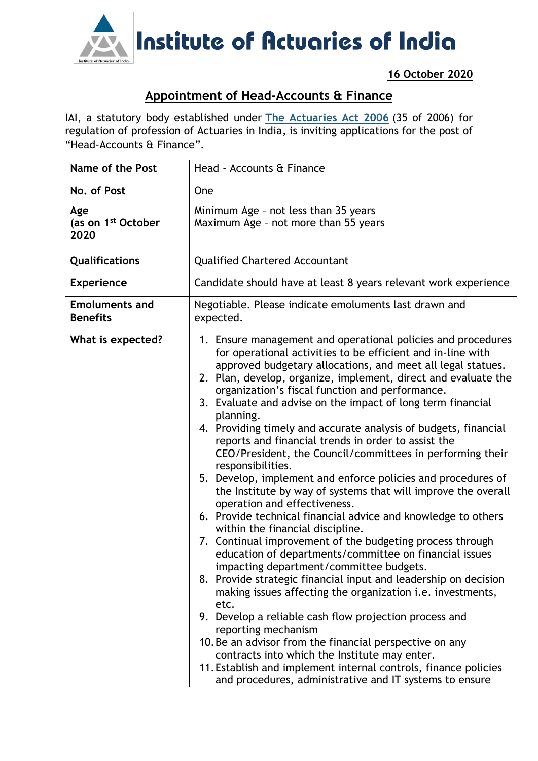

**16 October 2020**

## **Appointment of Head-Accounts & Finance**

IAI, a statutory body established under **[The Actuaries Act 2006](http://www.actuariesindia.org/guidance/scanned%20GN.pdf)** (35 of 2006) for regulation of profession of Actuaries in India, is inviting applications for the post of "Head-Accounts & Finance".

| <b>Name of the Post</b>                       | Head - Accounts & Finance                                                                                                                                                                                                                                                                                                                                                                                                                                                                                                                                                                                                                                                                                                                                                                                                                                                                                                                                                                                                                                                                                                                                                                                                                                                                                                                                                                                                                                                                                                  |
|-----------------------------------------------|----------------------------------------------------------------------------------------------------------------------------------------------------------------------------------------------------------------------------------------------------------------------------------------------------------------------------------------------------------------------------------------------------------------------------------------------------------------------------------------------------------------------------------------------------------------------------------------------------------------------------------------------------------------------------------------------------------------------------------------------------------------------------------------------------------------------------------------------------------------------------------------------------------------------------------------------------------------------------------------------------------------------------------------------------------------------------------------------------------------------------------------------------------------------------------------------------------------------------------------------------------------------------------------------------------------------------------------------------------------------------------------------------------------------------------------------------------------------------------------------------------------------------|
| No. of Post                                   | One                                                                                                                                                                                                                                                                                                                                                                                                                                                                                                                                                                                                                                                                                                                                                                                                                                                                                                                                                                                                                                                                                                                                                                                                                                                                                                                                                                                                                                                                                                                        |
| Age<br>(as on 1 <sup>st</sup> October<br>2020 | Minimum Age - not less than 35 years<br>Maximum Age - not more than 55 years                                                                                                                                                                                                                                                                                                                                                                                                                                                                                                                                                                                                                                                                                                                                                                                                                                                                                                                                                                                                                                                                                                                                                                                                                                                                                                                                                                                                                                               |
| Qualifications                                | <b>Qualified Chartered Accountant</b>                                                                                                                                                                                                                                                                                                                                                                                                                                                                                                                                                                                                                                                                                                                                                                                                                                                                                                                                                                                                                                                                                                                                                                                                                                                                                                                                                                                                                                                                                      |
| <b>Experience</b>                             | Candidate should have at least 8 years relevant work experience                                                                                                                                                                                                                                                                                                                                                                                                                                                                                                                                                                                                                                                                                                                                                                                                                                                                                                                                                                                                                                                                                                                                                                                                                                                                                                                                                                                                                                                            |
| <b>Emoluments and</b><br><b>Benefits</b>      | Negotiable. Please indicate emoluments last drawn and<br>expected.                                                                                                                                                                                                                                                                                                                                                                                                                                                                                                                                                                                                                                                                                                                                                                                                                                                                                                                                                                                                                                                                                                                                                                                                                                                                                                                                                                                                                                                         |
| What is expected?                             | 1. Ensure management and operational policies and procedures<br>for operational activities to be efficient and in-line with<br>approved budgetary allocations, and meet all legal statues.<br>2. Plan, develop, organize, implement, direct and evaluate the<br>organization's fiscal function and performance.<br>3. Evaluate and advise on the impact of long term financial<br>planning.<br>4. Providing timely and accurate analysis of budgets, financial<br>reports and financial trends in order to assist the<br>CEO/President, the Council/committees in performing their<br>responsibilities.<br>5. Develop, implement and enforce policies and procedures of<br>the Institute by way of systems that will improve the overall<br>operation and effectiveness.<br>6. Provide technical financial advice and knowledge to others<br>within the financial discipline.<br>7. Continual improvement of the budgeting process through<br>education of departments/committee on financial issues<br>impacting department/committee budgets.<br>8. Provide strategic financial input and leadership on decision<br>making issues affecting the organization <i>i.e.</i> investments,<br>etc.<br>9. Develop a reliable cash flow projection process and<br>reporting mechanism<br>10. Be an advisor from the financial perspective on any<br>contracts into which the Institute may enter.<br>11. Establish and implement internal controls, finance policies<br>and procedures, administrative and IT systems to ensure |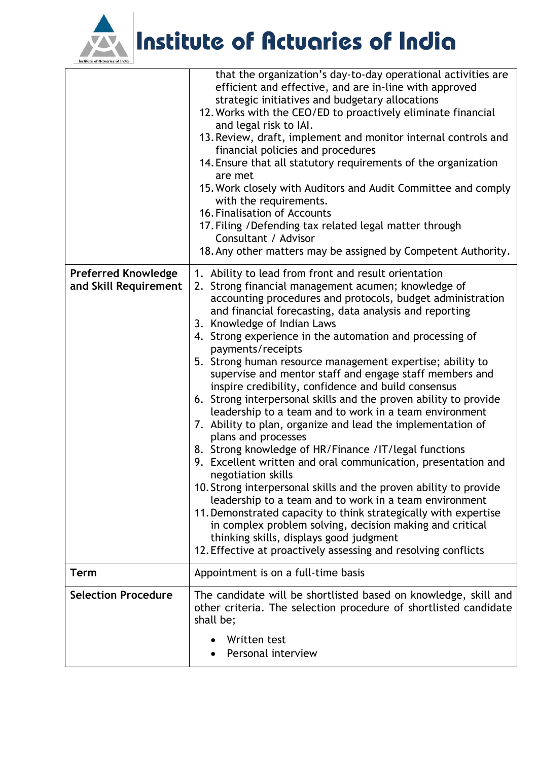

Institute of Actuaries of India

|                                                     | that the organization's day-to-day operational activities are<br>efficient and effective, and are in-line with approved<br>strategic initiatives and budgetary allocations<br>12. Works with the CEO/ED to proactively eliminate financial<br>and legal risk to IAI.<br>13. Review, draft, implement and monitor internal controls and<br>financial policies and procedures<br>14. Ensure that all statutory requirements of the organization<br>are met<br>15. Work closely with Auditors and Audit Committee and comply<br>with the requirements.<br>16. Finalisation of Accounts<br>17. Filing / Defending tax related legal matter through<br>Consultant / Advisor<br>18. Any other matters may be assigned by Competent Authority.                                                                                                                                                                                                                                                                                                                                                                                                                                                                                                                                            |
|-----------------------------------------------------|------------------------------------------------------------------------------------------------------------------------------------------------------------------------------------------------------------------------------------------------------------------------------------------------------------------------------------------------------------------------------------------------------------------------------------------------------------------------------------------------------------------------------------------------------------------------------------------------------------------------------------------------------------------------------------------------------------------------------------------------------------------------------------------------------------------------------------------------------------------------------------------------------------------------------------------------------------------------------------------------------------------------------------------------------------------------------------------------------------------------------------------------------------------------------------------------------------------------------------------------------------------------------------|
| <b>Preferred Knowledge</b><br>and Skill Requirement | 1. Ability to lead from front and result orientation<br>2. Strong financial management acumen; knowledge of<br>accounting procedures and protocols, budget administration<br>and financial forecasting, data analysis and reporting<br>3. Knowledge of Indian Laws<br>4. Strong experience in the automation and processing of<br>payments/receipts<br>5. Strong human resource management expertise; ability to<br>supervise and mentor staff and engage staff members and<br>inspire credibility, confidence and build consensus<br>6. Strong interpersonal skills and the proven ability to provide<br>leadership to a team and to work in a team environment<br>7. Ability to plan, organize and lead the implementation of<br>plans and processes<br>8. Strong knowledge of HR/Finance / IT/legal functions<br>9. Excellent written and oral communication, presentation and<br>negotiation skills<br>10. Strong interpersonal skills and the proven ability to provide<br>leadership to a team and to work in a team environment<br>11. Demonstrated capacity to think strategically with expertise<br>in complex problem solving, decision making and critical<br>thinking skills, displays good judgment<br>12. Effective at proactively assessing and resolving conflicts |
| <b>Term</b>                                         | Appointment is on a full-time basis                                                                                                                                                                                                                                                                                                                                                                                                                                                                                                                                                                                                                                                                                                                                                                                                                                                                                                                                                                                                                                                                                                                                                                                                                                                |
| <b>Selection Procedure</b>                          | The candidate will be shortlisted based on knowledge, skill and<br>other criteria. The selection procedure of shortlisted candidate<br>shall be;<br>Written test<br>Personal interview                                                                                                                                                                                                                                                                                                                                                                                                                                                                                                                                                                                                                                                                                                                                                                                                                                                                                                                                                                                                                                                                                             |